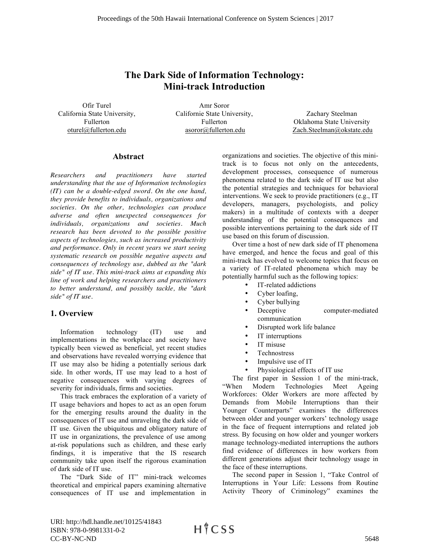## **The Dark Side of Information Technology: Mini-track Introduction**

Ofir Turel California State University, Fullerton oturel@fullerton.edu

Amr Soror Californie State University, Fullerton asoror@fullerton.edu

Zachary Steelman Oklahoma State University Zach.Steelman@okstate.edu

## **Abstract**

*Researchers and practitioners have started understanding that the use of Information technologies (IT) can be a double-edged sword. On the one hand, they provide benefits to individuals, organizations and societies. On the other, technologies can produce adverse and often unexpected consequences for individuals, organizations and societies. Much research has been devoted to the possible positive aspects of technologies, such as increased productivity and performance. Only in recent years we start seeing systematic research on possible negative aspects and consequences of technology use, dubbed as the "dark side" of IT use. This mini-track aims at expanding this line of work and helping researchers and practitioners to better understand, and possibly tackle, the "dark side" of IT use.*

## **1. Overview**

Information technology (IT) use and implementations in the workplace and society have typically been viewed as beneficial, yet recent studies and observations have revealed worrying evidence that IT use may also be hiding a potentially serious dark side. In other words, IT use may lead to a host of negative consequences with varying degrees of severity for individuals, firms and societies.

This track embraces the exploration of a variety of IT usage behaviors and hopes to act as an open forum for the emerging results around the duality in the consequences of IT use and unraveling the dark side of IT use. Given the ubiquitous and obligatory nature of IT use in organizations, the prevalence of use among at-risk populations such as children, and these early findings, it is imperative that the IS research community take upon itself the rigorous examination of dark side of IT use.

The "Dark Side of IT" mini-track welcomes theoretical and empirical papers examining alternative consequences of IT use and implementation in organizations and societies. The objective of this minitrack is to focus not only on the antecedents, development processes, consequence of numerous phenomena related to the dark side of IT use but also the potential strategies and techniques for behavioral interventions. We seek to provide practitioners (e.g., IT developers, managers, psychologists, and policy makers) in a multitude of contexts with a deeper understanding of the potential consequences and possible interventions pertaining to the dark side of IT use based on this forum of discussion.

Over time a host of new dark side of IT phenomena have emerged, and hence the focus and goal of this mini-track has evolved to welcome topics that focus on a variety of IT-related phenomena which may be potentially harmful such as the following topics:

- IT-related addictions
- Cyber loafing,
- Cyber bullying
- Deceptive computer-mediated communication
- Disrupted work life balance
- IT interruptions
- IT misuse
- Technostress
- Impulsive use of IT
- Physiological effects of IT use

The first paper in Session 1 of the mini-track,<br>"When Modern Technologies Meet Ageing Modern Technologies Meet Ageing Workforces: Older Workers are more affected by Demands from Mobile Interruptions than their Younger Counterparts" examines the differences between older and younger workers' technology usage in the face of frequent interruptions and related job stress. By focusing on how older and younger workers manage technology-mediated interruptions the authors find evidence of differences in how workers from different generations adjust their technology usage in the face of these interruptions.

The second paper in Session 1, "Take Control of Interruptions in Your Life: Lessons from Routine Activity Theory of Criminology" examines the

URI: http://hdl.handle.net/10125/41843 ISBN: 978-0-9981331-0-2 CC-BY-NC-ND